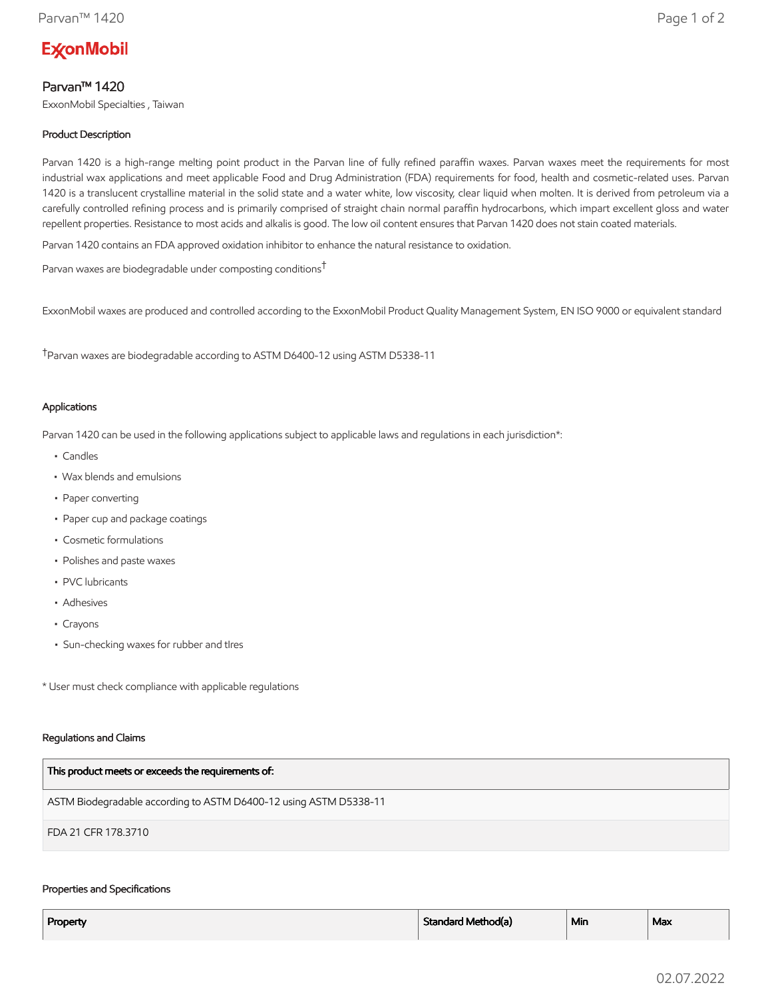# **ExconMobil**

# Parvan™ 1420

ExxonMobil Specialties , Taiwan

# Product Description

Parvan 1420 is a high-range melting point product in the Parvan line of fully refined paraffin waxes. Parvan waxes meet the requirements for most industrial wax applications and meet applicable Food and Drug Administration (FDA) requirements for food, health and cosmetic-related uses. Parvan 1420 is a translucent crystalline material in the solid state and a water white, low viscosity, clear liquid when molten. It is derived from petroleum via a carefully controlled refining process and is primarily comprised of straight chain normal paraffin hydrocarbons, which impart excellent gloss and water repellent properties. Resistance to most acids and alkalis is good. The low oil content ensures that Parvan 1420 does not stain coated materials.

Parvan 1420 contains an FDA approved oxidation inhibitor to enhance the natural resistance to oxidation.

Parvan waxes are biodegradable under composting conditions†

ExxonMobil waxes are produced and controlled according to the ExxonMobil Product Quality Management System, EN ISO 9000 or equivalent standard

†Parvan waxes are biodegradable according to ASTM D6400-12 using ASTM D5338-11

## Applications

Parvan 1420 can be used in the following applications subject to applicable laws and regulations in each jurisdiction\*:

- Candles
- Wax blends and emulsions
- Paper converting
- Paper cup and package coatings
- Cosmetic formulations
- Polishes and paste waxes
- PVC lubricants
- Adhesives
- Crayons
- Sun-checking waxes for rubber and tIres

\* User must check compliance with applicable regulations

#### Regulations and Claims

| This product meets or exceeds the requirements of:                |
|-------------------------------------------------------------------|
| ASTM Biodegradable according to ASTM D6400-12 using ASTM D5338-11 |
| FDA 21 CFR 178.3710                                               |

#### Properties and Specifications

| Property | Standard Method(a) | <sup>⊥</sup> Min | Max |
|----------|--------------------|------------------|-----|
|          |                    |                  |     |